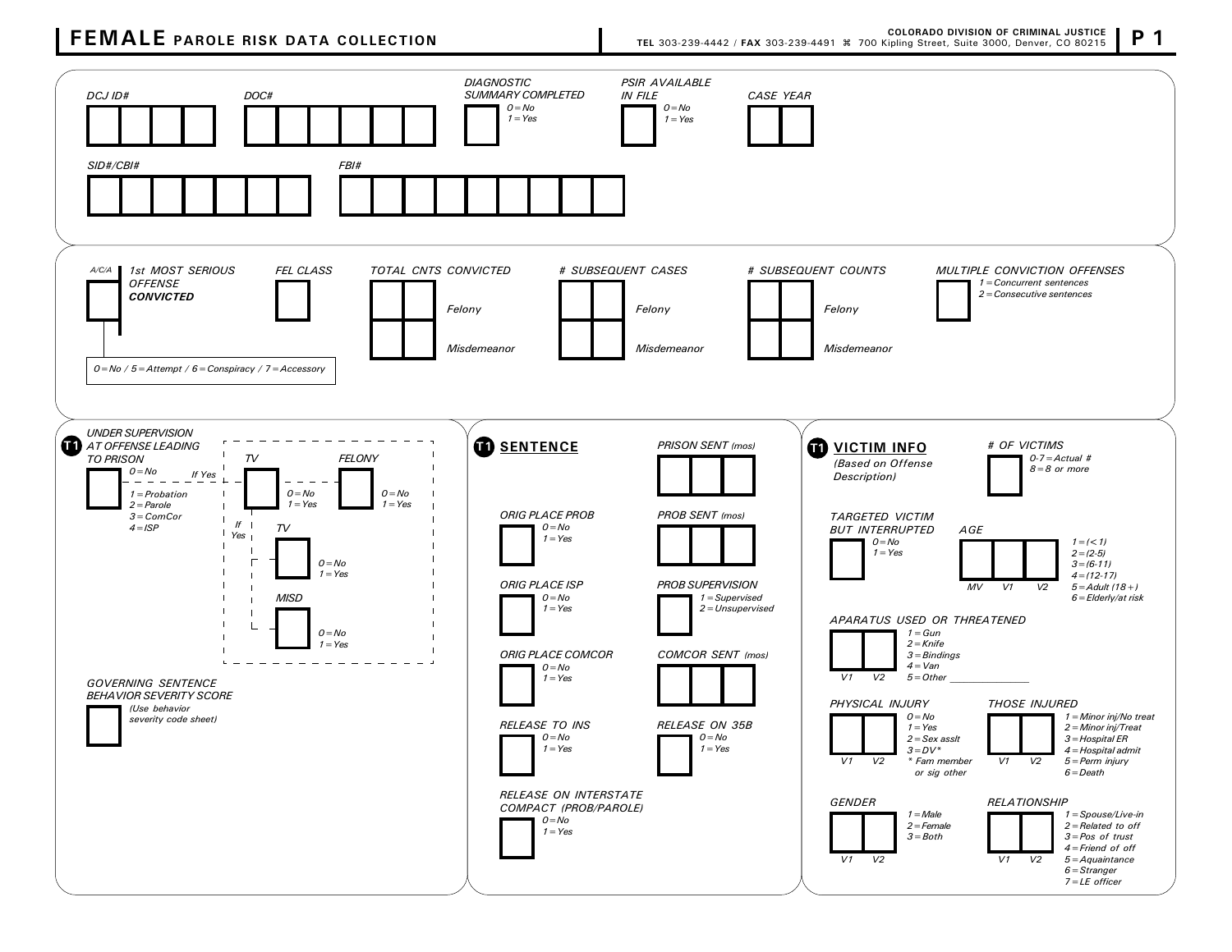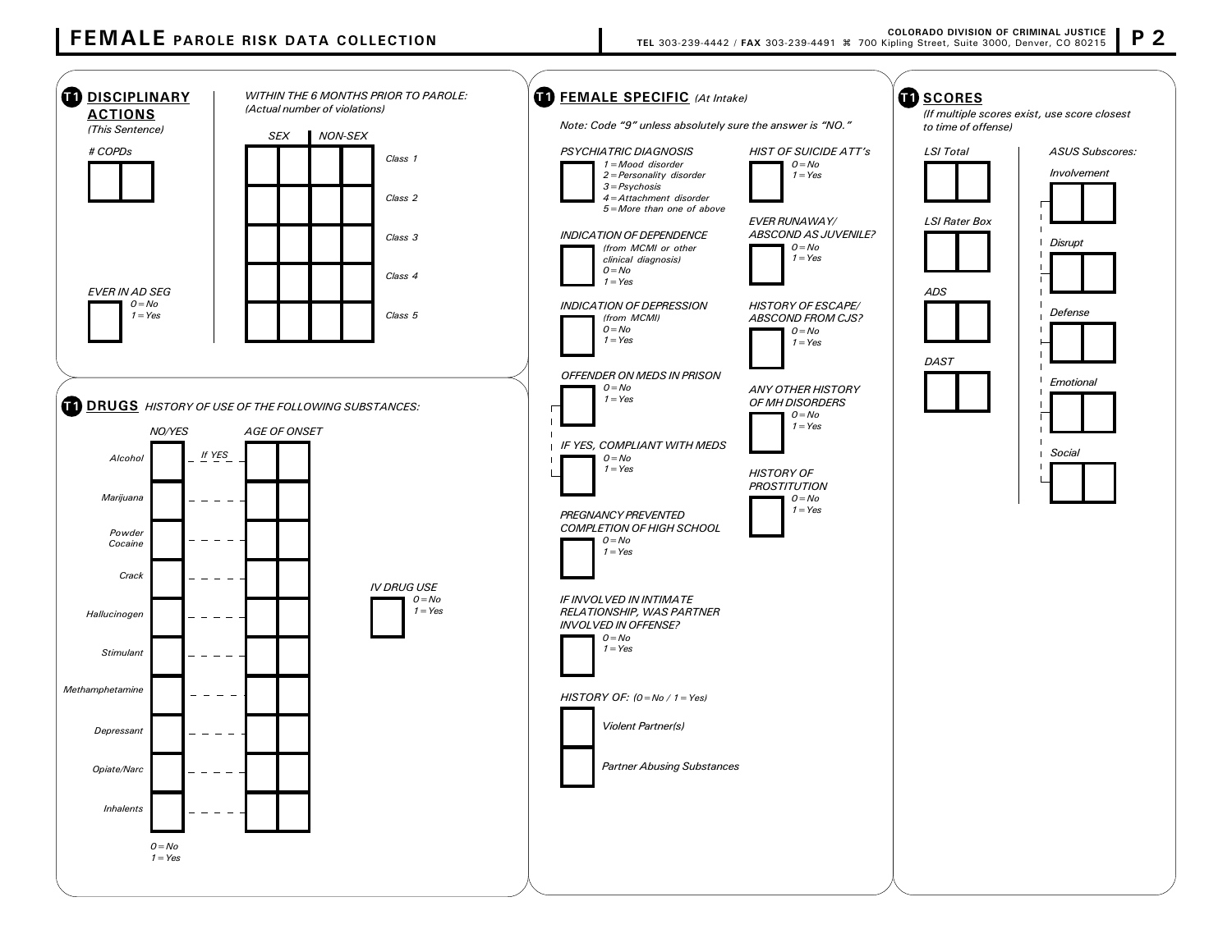## FEMALE PAROLE RISK DATA COLLECTION

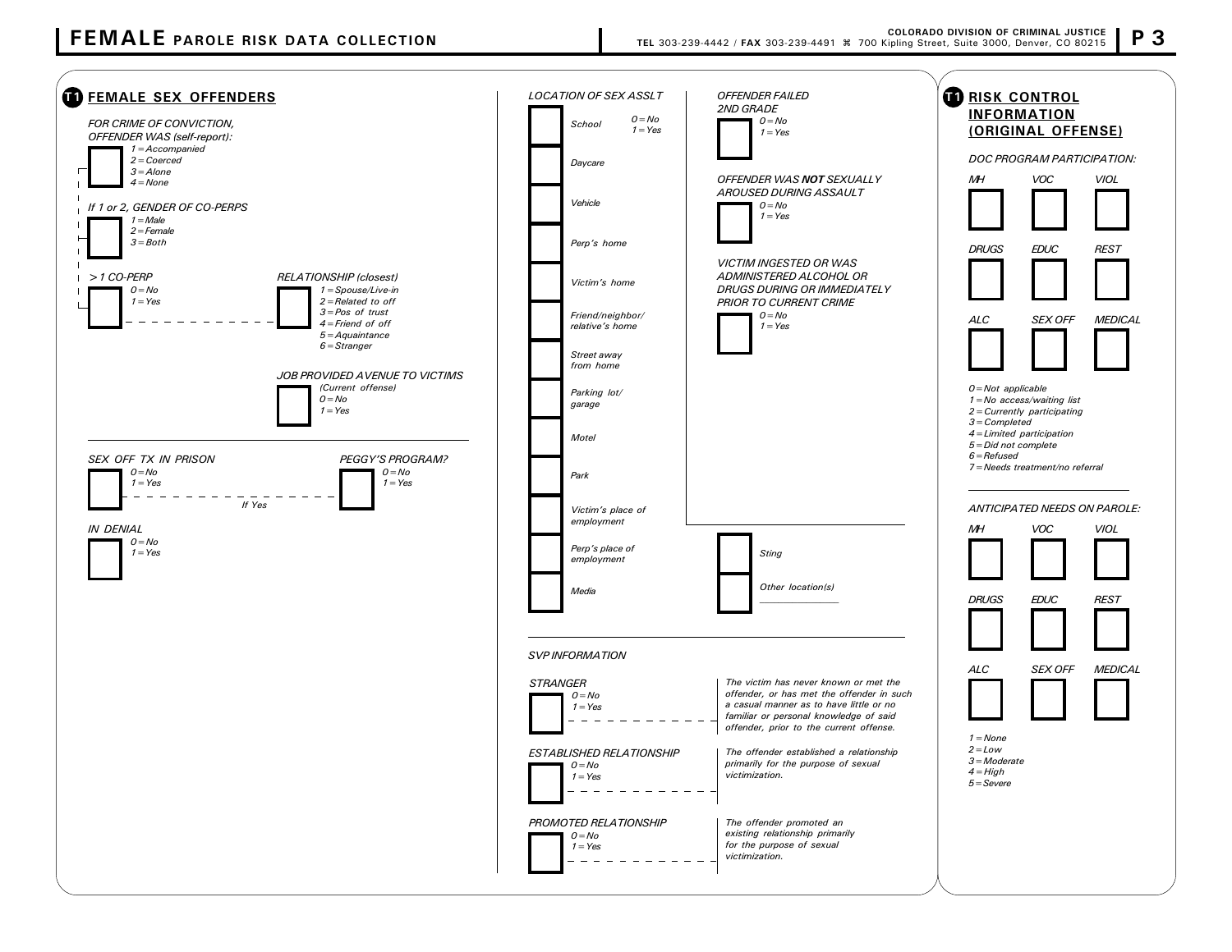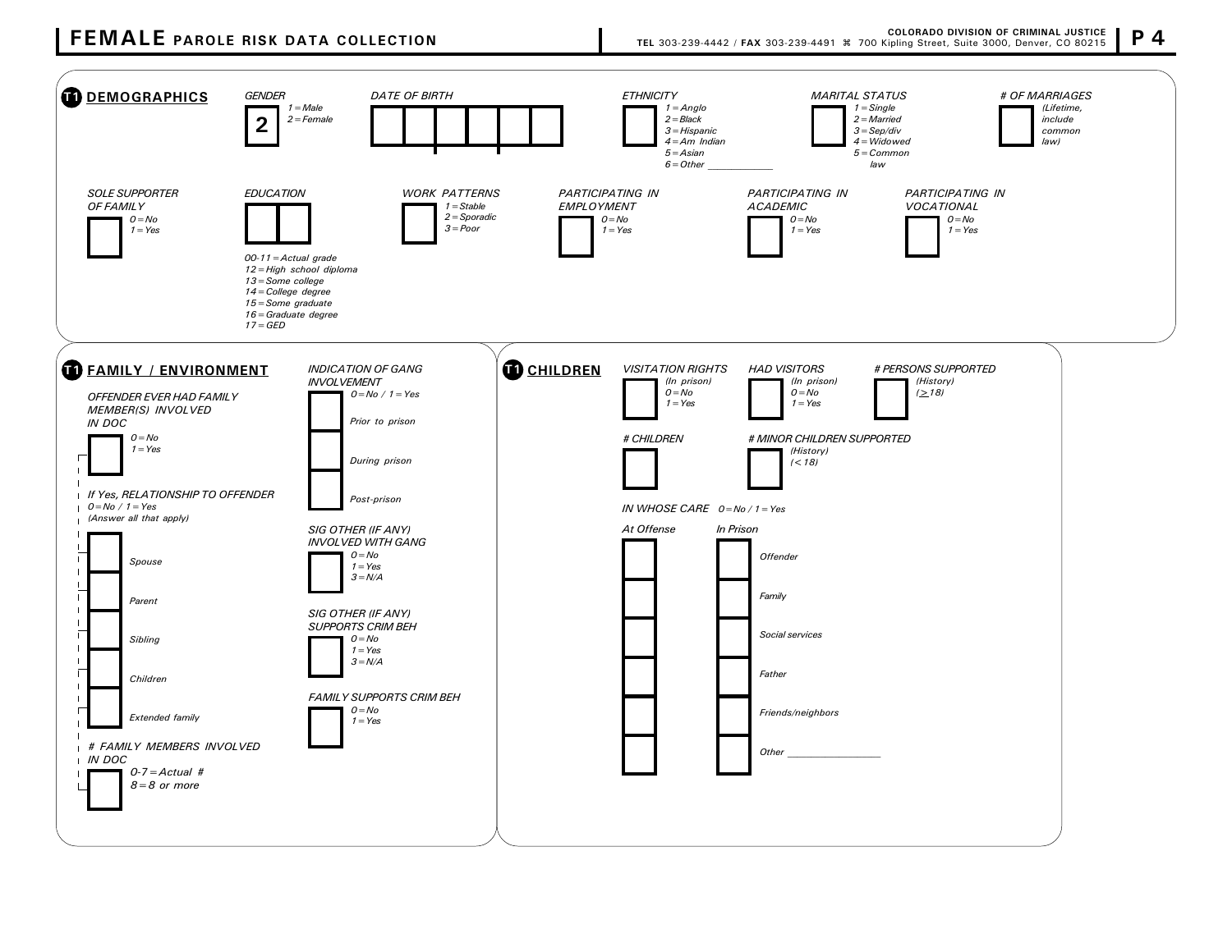## FEMALE PAROLE RISK DATA COLLECTION

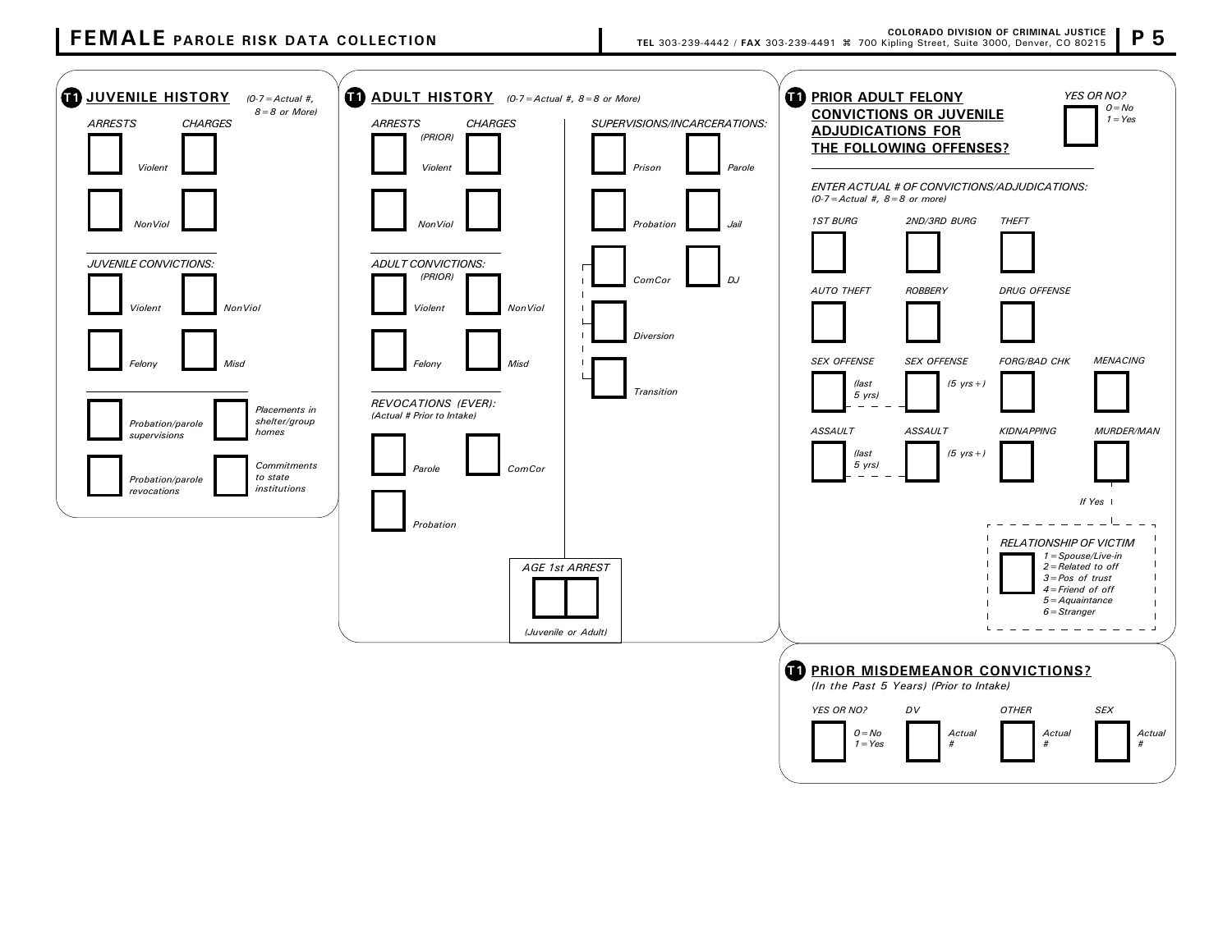